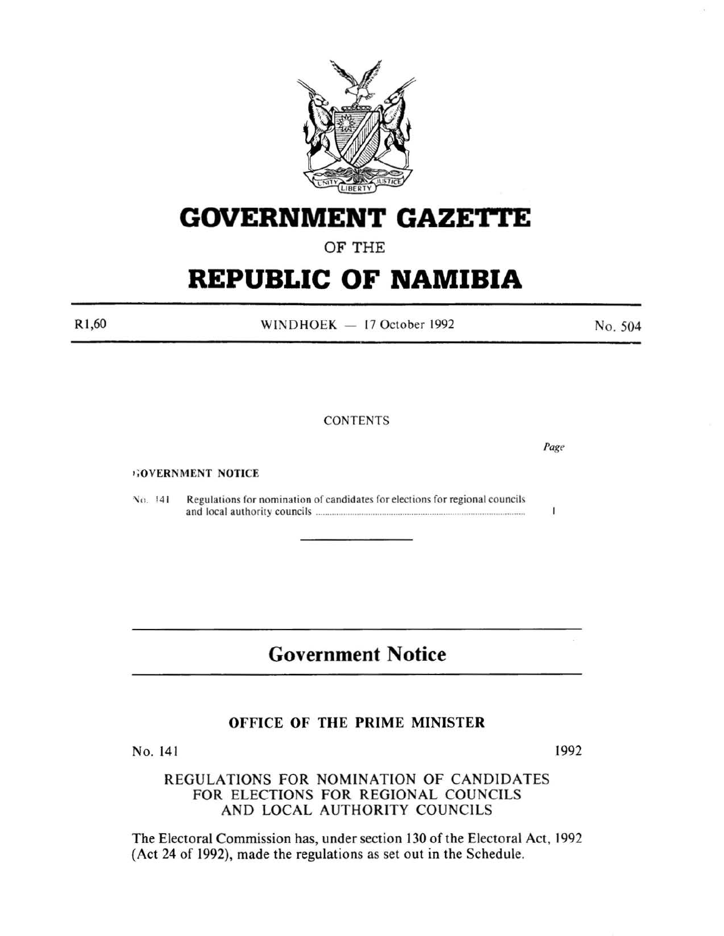

# **GOVERNMENT GAZETI'E**

## OF THE

# **REPUBLIC OF NAMIBIA**

Rl ,60

WINDHOEK  $-17$  October 1992

**CONTENTS** 

,;OVERNMENT NOTICE

No. 141 Regulations for nomination of candidates for elections for regional councils and local authority councils ........................................................................................... .

## **Government Notice**

#### OFFICE OF THE PRIME MINISTER

No. 141

1992

REGULATIONS FOR NOMINATION OF CANDIDATES FOR ELECTIONS FOR REGIONAL COUNCILS AND LOCAL AUTHORITY COUNCILS

The Electoral Commission has, under section 130 of the Electoral Act, 1992 (Act 24 of 1992), made the regulations as set out in the Schedule.

No. 504

*Page* 

 $\mathbf{I}$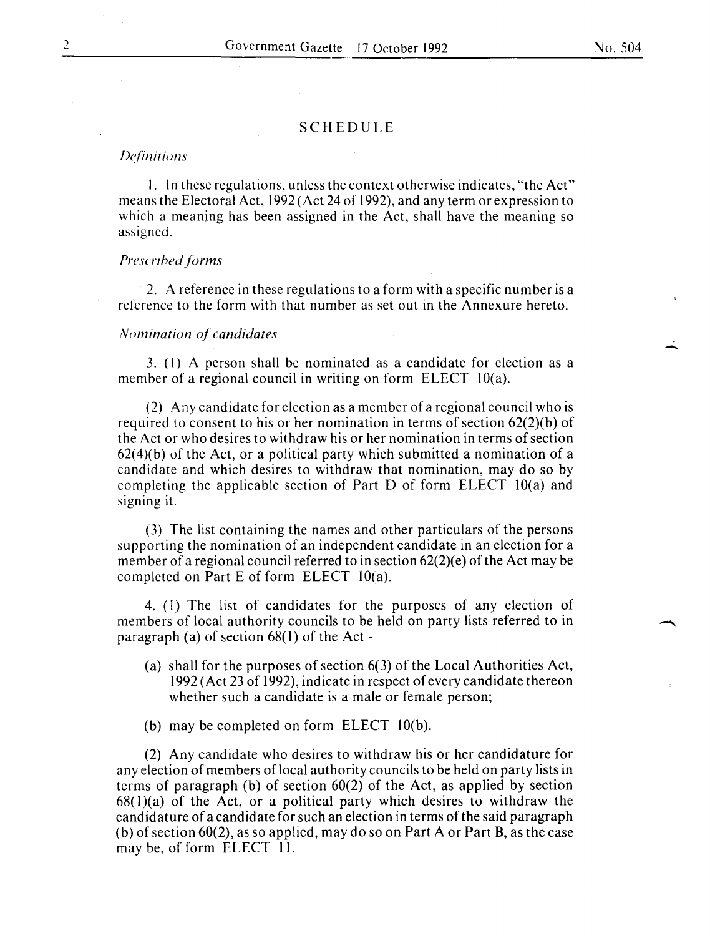$\frac{1}{\sqrt{2}}$ 

#### SCHEDULE

#### *De/in it ions*

I. In these regulations, unless the context otherwise indicates, "the Act" means the Electoral Act, 1992 (Act 24 of 1992), and any term or expression to which a meaning has been assigned in the Act, shall have the meaning so assigned.

#### *Prescrihed forms*

2. A reference in these regulations to a form with a specific number is a reference to the form with that number as set out in the Annexure hereto.

#### *Nomination of candidates*

3. (I) A person shall be nominated as a candidate for election as a member of a regional council in writing on form ELECT 10(a).

(2) Any candidate for election as a member of a regional council who is required to consent to his or her nomination in terms of section 62(2)(b) of the Act or who desires to withdraw his or her nomination in terms of section  $62(4)$ (b) of the Act, or a political party which submitted a nomination of a candidate and which desires to withdraw that nomination, may do so by completing the applicable section of Part D of form ELECT IO(a) and signing it.

(3) The list containing the names and other particulars of the persons supporting the nomination of an independent candidate in an election for a member of a regional council referred to in section 62(2)(e) of the Act may be completed on Part E of form ELECT  $10(a)$ .

4. (I) The list of candidates for the purposes of any election of members of local authority councils to be held on party lists referred to in paragraph (a) of section  $68(1)$  of the Act -

- (a) shall for the purposes of section 6(3) of the Local Authorities Act, 1992 (Act 23 of 1992), indicate in respect of every candidate thereon whether such a candidate is a male or female person;
- (b) may be completed on form ELECT IO(b).

(2) Any candidate who desires to withdraw his or her candidature for any election of members of local authority councils to be held on party lists in terms of paragraph (b) of section 60(2) of the Act, as applied by section  $68(1)(a)$  of the Act, or a political party which desires to withdraw the candidature of a candidate for such an election in terms of the said paragraph (b) of section 60(2), as so applied, may do so on Part A or Part B, as the case may be, of form ELECT II.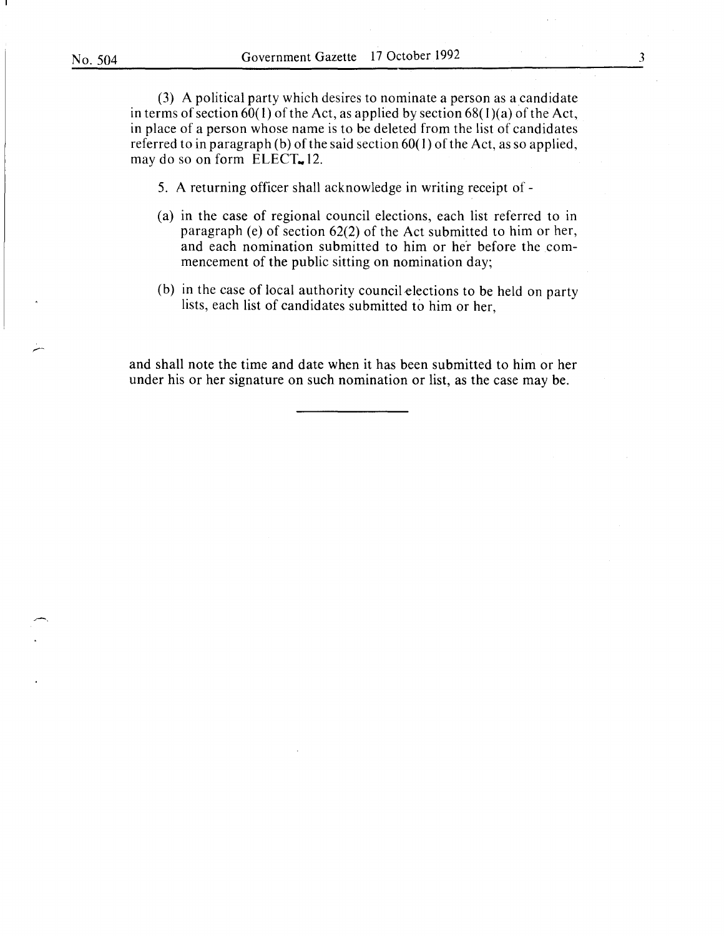(3) A political party which desires to nominate a person as a candidate in terms of section  $60(1)$  of the Act, as applied by section  $68(1)(a)$  of the Act, in place of a person whose name is to be deleted from the list of candidates referred to in paragraph (b) of the said section 60( I) of the Act, as so applied, may do so on form  $ELECT = 12$ .

5. A returning officer shall acknowledge in writing receipt of-

- (a) in the case of regional council elections, each list referred to in paragraph (e) of section 62(2) of the Act submitted to him or her, and each nomination submitted to him or her before the commencement of the public sitting on nomination day;
- (b) in the case of local authority council elections to be held on party lists, each list of candidates submitted to him or her,

and shall note the time and date when it has been submitted to him or her under his or her signature on such nomination or list, as the case may be.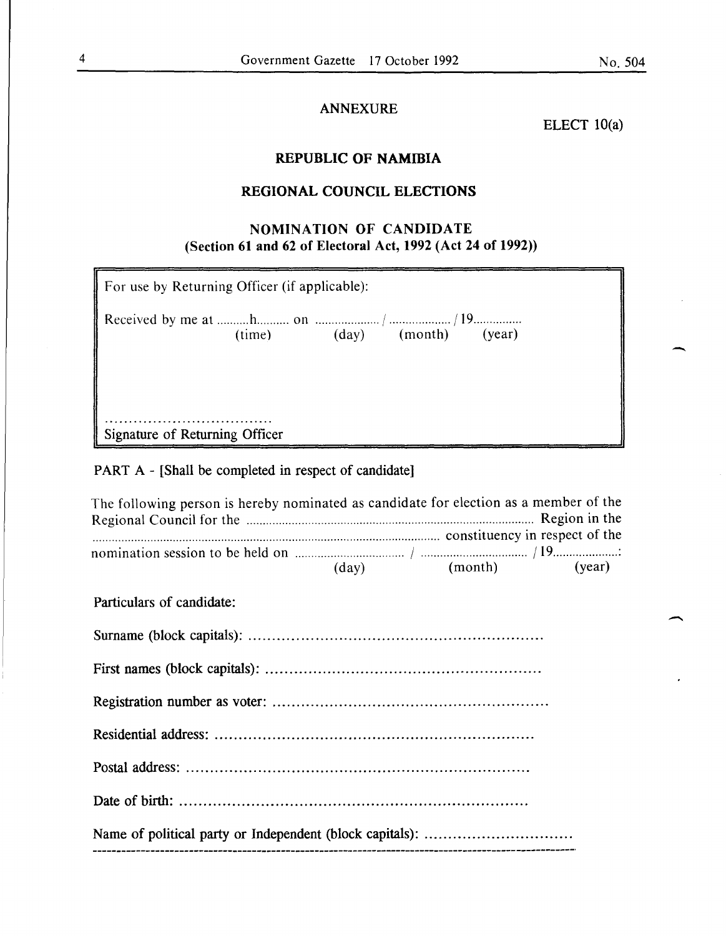-

### ANNEXURE

ELECT  $10(a)$ 

## REPUBLIC OF NAMIBIA

## REGIONAL COUNCIL ELECTIONS

### NOMINATION OF CANDIDATE (Section 61 and 62 of Electoral Act, 1992 (Act 24 of 1992))

| For use by Returning Officer (if applicable): |  |                            |  |        |  |
|-----------------------------------------------|--|----------------------------|--|--------|--|
|                                               |  | $(time)$ $(day)$ $(month)$ |  | (year) |  |
|                                               |  |                            |  |        |  |
|                                               |  |                            |  |        |  |
| Signature of Returning Officer                |  |                            |  |        |  |

## PART A - [Shall be completed in respect of candidate]

| The following person is hereby nominated as candidate for election as a member of the |  |  |
|---------------------------------------------------------------------------------------|--|--|
|                                                                                       |  |  |
| nomination session to be held on $\frac{19}{(day)}$ (month) (year)                    |  |  |
| Particulars of candidate:                                                             |  |  |
|                                                                                       |  |  |
|                                                                                       |  |  |
|                                                                                       |  |  |
|                                                                                       |  |  |
|                                                                                       |  |  |
|                                                                                       |  |  |
|                                                                                       |  |  |
|                                                                                       |  |  |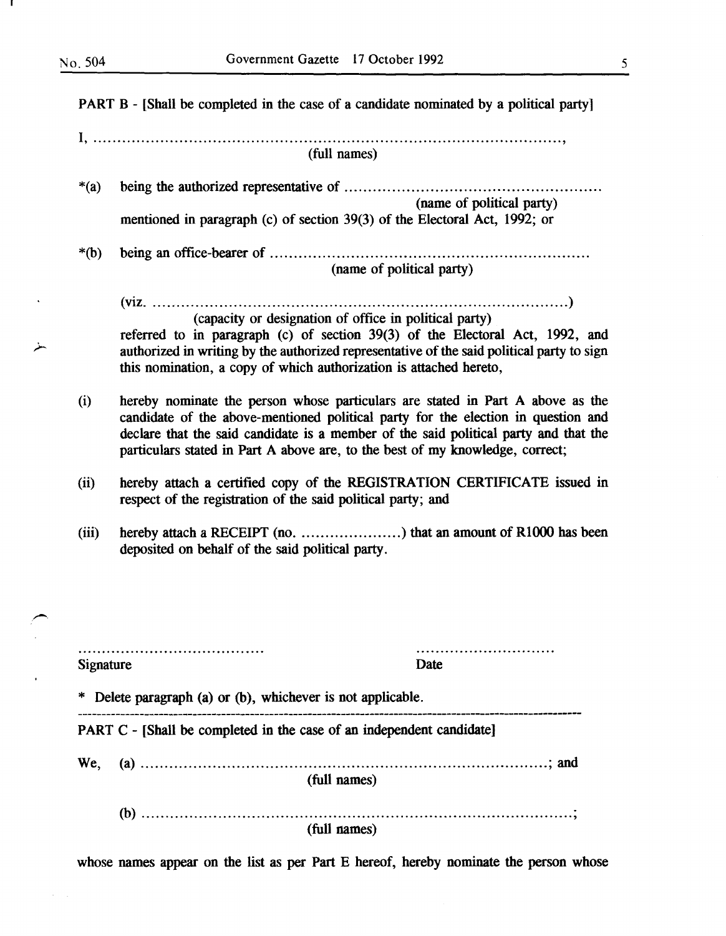PART B- [Shall be completed in the case of a candidate nominated by a political party] I, .................................................................................................. ' (full names) being the authorized representative of ..................................................... .  $*(a)$ (name of political party) mentioned in paragraph (c) of section 39(3) of the Electoral Act, 1992; or \*(b) being an office-bearer of .................................................................. . (name of political party) (viz ........................................................................................ ) (capacity or designation of office in political party) referred to in paragraph (c) of section 39(3) of the Electoral Act, 1992, and authorized in writing by the authorized representative of the said political party to sign this nomination, a copy of which authorization is attached hereto, hereby nominate the person whose particulars are stated in Part A above as the (i) candidate of the above-mentioned political party for the election in question and declare that the said candidate is a member of the said political party and that the particulars stated in Part A above are, to the best of my knowledge, correct; hereby attach a certified copy of the REGISTRATION CERTIFICATE issued in (ii) respect of the registration of the said political party; and hereby attach a RECEIPT (no. ..........................) that an amount of R1000 has been (iii) deposited on behalf of the said political party. ............................. Signature Date \* Delete paragraph (a) or (b), whichever is not applicable. PART C - [Shall be completed in the case of an independent candidate] We, (a) ..................................................................................... ; and (full names) (b) .......................................................................................... ; (full names)

whose names appear on the list as per Part E hereof, hereby nominate the person whose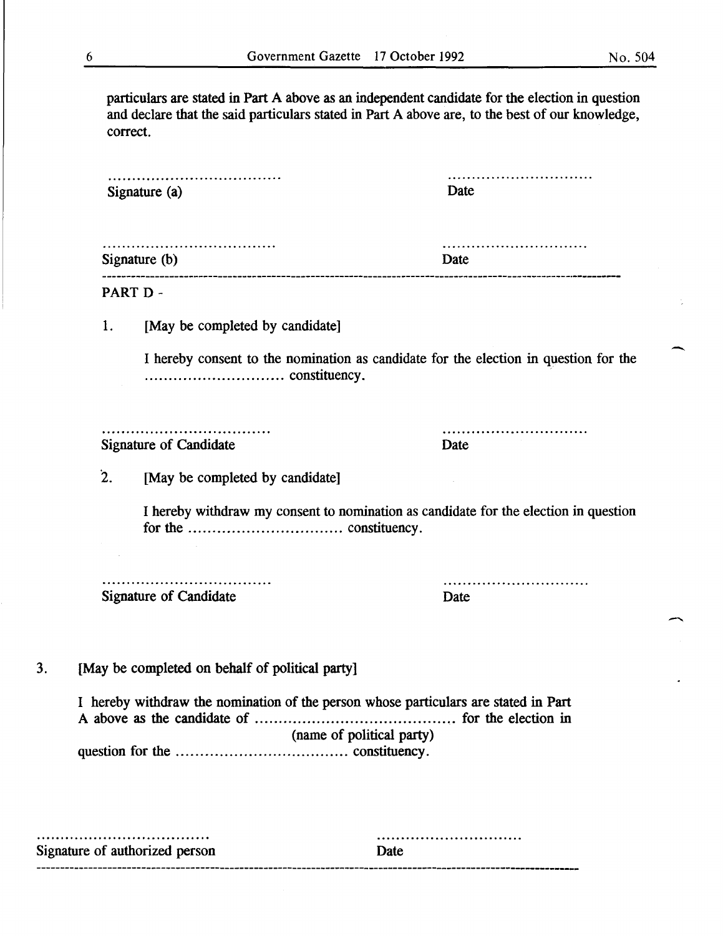$\overline{\phantom{a}}$ 

particulars are stated in Part A above as an independent candidate for the election in question and declare that the said particulars stated in Part A above are, to the best of our knowledge, correct.

| Signature (a)   |                                                                                     | Date                                                                                 |  |
|-----------------|-------------------------------------------------------------------------------------|--------------------------------------------------------------------------------------|--|
| Signature $(b)$ |                                                                                     | Date                                                                                 |  |
|                 | PART D-                                                                             |                                                                                      |  |
| 1.              | [May be completed by candidate]                                                     |                                                                                      |  |
|                 |                                                                                     | I hereby consent to the nomination as candidate for the election in question for the |  |
|                 | Signature of Candidate                                                              | Date                                                                                 |  |
| $\mathbf{2}$ .  | [May be completed by candidate]                                                     |                                                                                      |  |
|                 |                                                                                     | I hereby withdraw my consent to nomination as candidate for the election in question |  |
|                 | <b>Signature of Candidate</b>                                                       | Date                                                                                 |  |
|                 | [May be completed on behalf of political party]                                     |                                                                                      |  |
|                 | I hereby withdraw the nomination of the person whose particulars are stated in Part | (name of political party)                                                            |  |
|                 |                                                                                     |                                                                                      |  |

..............................

Signature of authorized person Date ------------------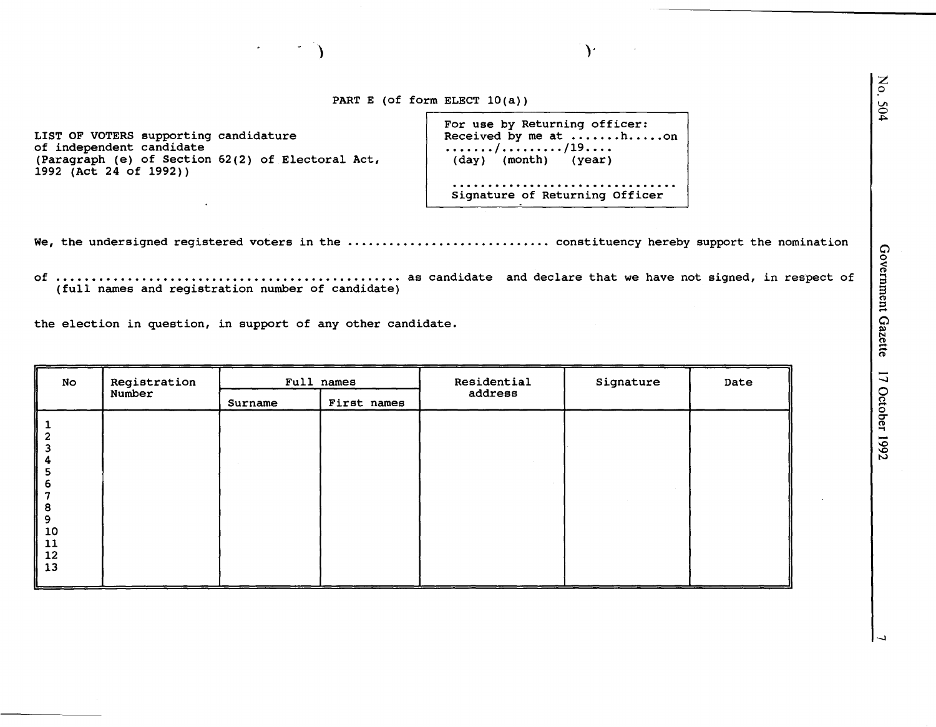PART E (of form ELECT 10(a))

) and the contract of  $\mathcal{Y}$ 

LIST OF VOTERS supporting candidature Received by me at .......h.....on of independent candidate (Paragraph (e) of Section 62(2) of Electoral Act, (day) (month) (year) 1992 (Act 24 of 1992))

| For use by Returning officer:<br>Received by me at hon<br>. / /19. |  |
|--------------------------------------------------------------------|--|
| (day) (month) (year)                                               |  |
| Signature of Returning Officer                                     |  |

We, the undersigned registered voters in the ............................... constituency hereby support the nomination

of as candidate and declare that we have not signed, in respect of (full names and registration number of candidate)

the election in question, in support of any other candidate.

| Registration | Full names |             | Residential | Signature | Date |
|--------------|------------|-------------|-------------|-----------|------|
|              | Surname    | First names |             |           |      |
|              |            |             |             |           |      |
|              |            |             |             |           |      |
|              |            |             |             |           |      |
|              |            |             |             |           |      |
|              |            |             |             |           |      |
|              |            |             |             |           |      |
|              |            |             |             |           |      |
|              |            |             |             |           |      |
|              | Number     |             |             | address   |      |

:z 0

504

-..J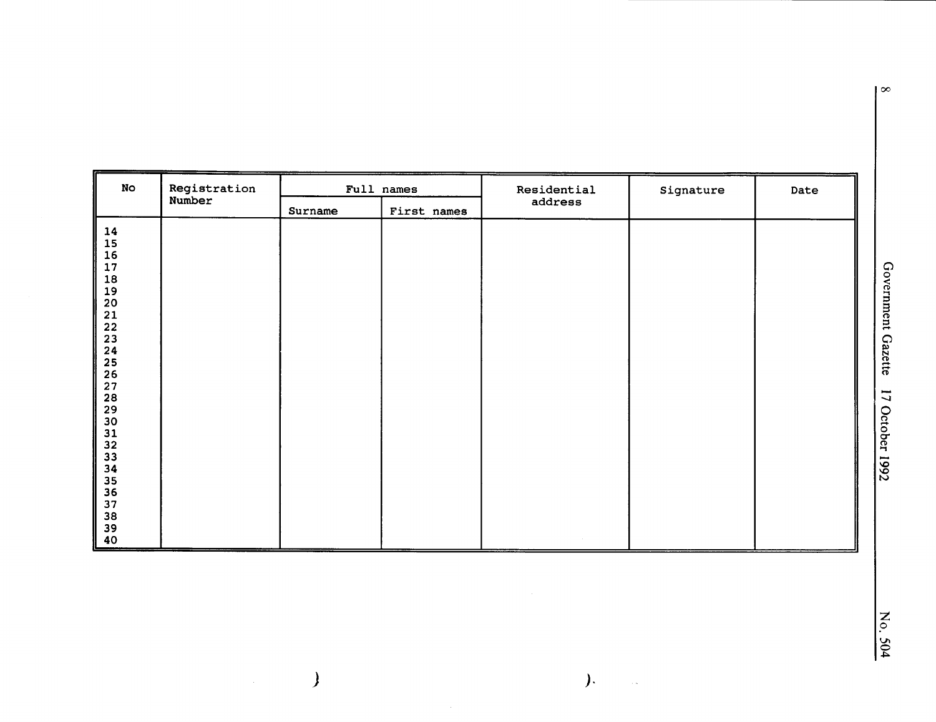| No                              | Registration |         | Full names  | Residential | Signature | Date |
|---------------------------------|--------------|---------|-------------|-------------|-----------|------|
|                                 | Number       | Surname | First names | address     |           |      |
|                                 |              |         |             |             |           |      |
|                                 |              |         |             |             |           |      |
|                                 |              |         |             |             |           |      |
|                                 |              |         |             |             |           |      |
|                                 |              |         |             |             |           |      |
|                                 |              |         |             |             |           |      |
|                                 |              |         |             |             |           |      |
|                                 |              |         |             |             |           |      |
|                                 |              |         |             |             |           |      |
|                                 |              |         |             |             |           |      |
|                                 |              |         |             |             |           |      |
|                                 |              |         |             |             |           |      |
|                                 |              |         |             |             |           |      |
|                                 |              |         |             |             |           |      |
|                                 |              |         |             |             |           |      |
|                                 |              |         |             |             |           |      |
|                                 |              |         |             |             |           |      |
|                                 |              |         |             |             |           |      |
|                                 |              |         |             |             |           |      |
|                                 |              |         |             |             |           |      |
| 1456789011234567890112334567890 |              |         |             |             |           |      |
|                                 |              |         |             |             |           |      |
|                                 |              |         |             |             |           |      |
|                                 |              |         |             |             |           |      |
|                                 |              |         |             |             |           |      |

 $\overline{\phantom{0}}$ 

 $\overline{\mathcal{L}}$ 

 $\mathcal{L}$ 

 $\hat{\mathcal{A}}$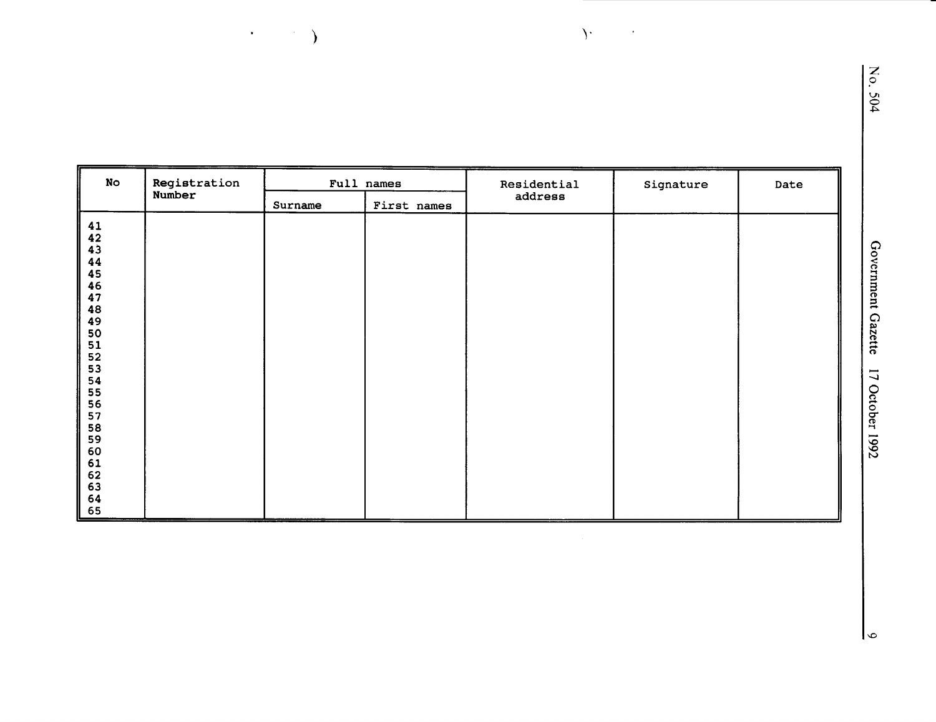| <b>No</b>                                                                                | Registration |         | Full names  | Residential | Signature | Date |
|------------------------------------------------------------------------------------------|--------------|---------|-------------|-------------|-----------|------|
|                                                                                          | Number       | Surname | First names | address     |           |      |
| $41$<br>$42$<br>$43$<br>$44$<br>$45$<br>$46$<br>$47$<br>44555554567890<br>61<br>62<br>63 |              |         |             |             |           |      |
| 64<br>65                                                                                 |              |         |             |             |           |      |

 $\Delta$ 

 $\hat{\boldsymbol{\theta}}$ 

 $\mathcal{F}^{\text{max}}_{\text{max}}$ 

 $\mathsf{L}$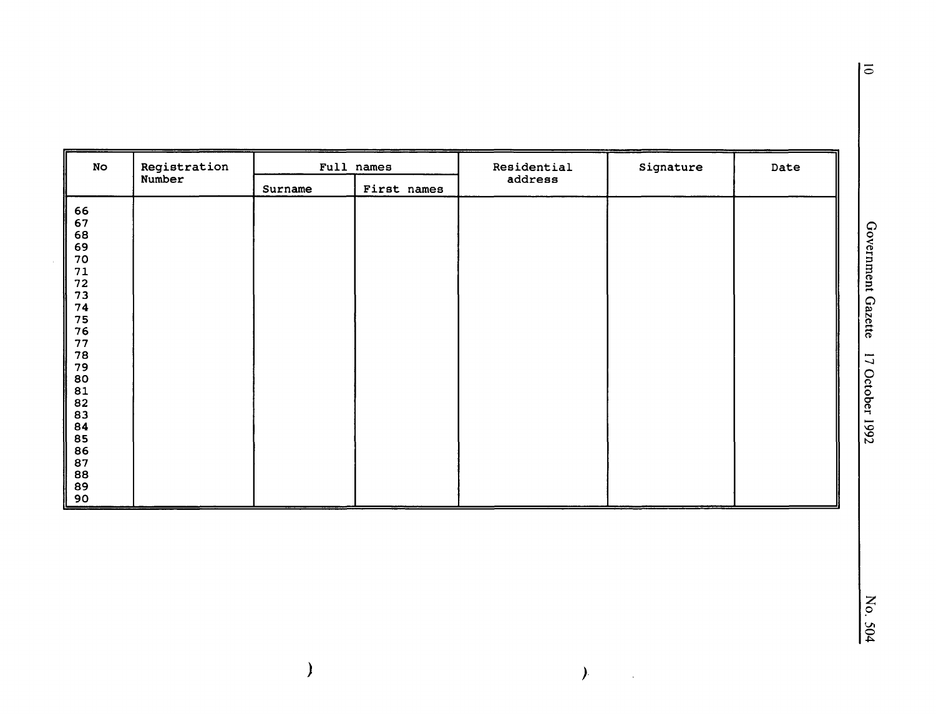| No                                                                                                                                                                                                                                                 | Registration | Full names |             | Residential | Signature | Date |
|----------------------------------------------------------------------------------------------------------------------------------------------------------------------------------------------------------------------------------------------------|--------------|------------|-------------|-------------|-----------|------|
|                                                                                                                                                                                                                                                    | Number       | Surname    | First names | address     |           |      |
| 66<br>67<br>68<br>69<br>$70\,$<br>$\begin{array}{c} 71 \\ 72 \end{array}$<br>73<br>74<br>75<br>76<br>$77$<br>7890<br>780<br>81<br>82<br>83<br>84<br>85<br>$\begin{array}{c} 86 \\ 87 \end{array}$<br>$\begin{array}{c} 88 \\ 89 \end{array}$<br>90 |              |            |             |             |           |      |

 $\lambda$ 

 $\mathbb{R}^2$ 

 $\big)$ 

 $\bar{z}$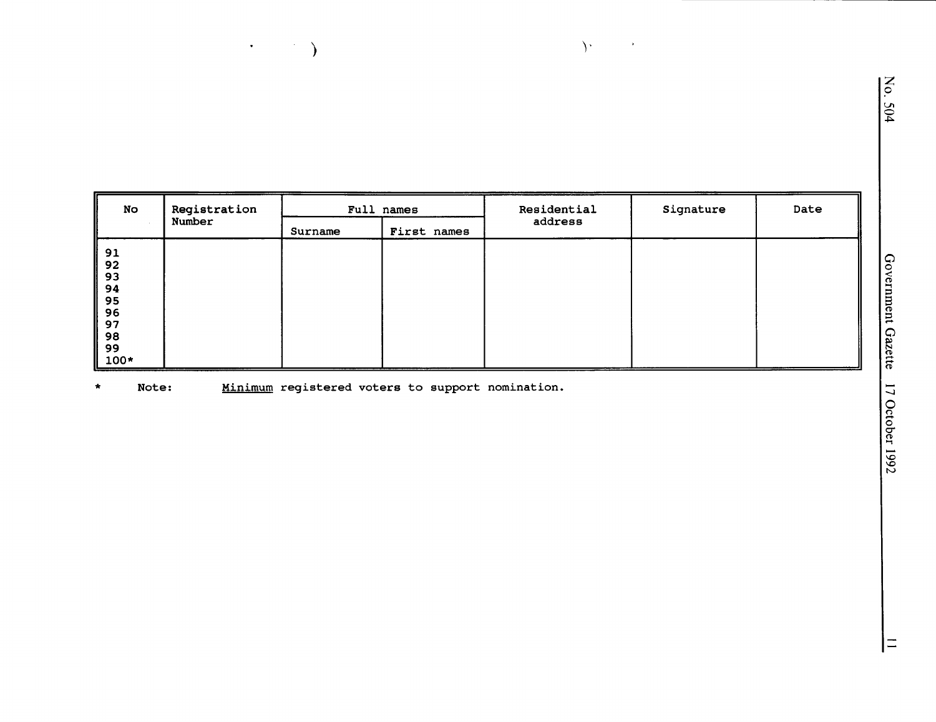| No                                                             | Registration<br>Number | Full names |             | Residential | Signature | Date |
|----------------------------------------------------------------|------------------------|------------|-------------|-------------|-----------|------|
|                                                                |                        | Surname    | First names | address     |           |      |
| 91<br>$92$<br>93<br>94<br>95<br>96<br>97<br>98<br>99<br>$100*$ |                        |            |             |             |           |      |

 $\mathcal{Y}$ 

 $\mathbf{v}$ 

 $\star$ Note: Minimum registered voters to support nomination.

 $\begin{picture}(150,10) \put(0,0){\vector(1,0){10}} \put(15,0){\vector(1,0){10}} \put(15,0){\vector(1,0){10}} \put(15,0){\vector(1,0){10}} \put(15,0){\vector(1,0){10}} \put(15,0){\vector(1,0){10}} \put(15,0){\vector(1,0){10}} \put(15,0){\vector(1,0){10}} \put(15,0){\vector(1,0){10}} \put(15,0){\vector(1,0){10}} \put(15,0){\vector(1,0){10}} \put(15,0){\vector($ 

 $\equiv$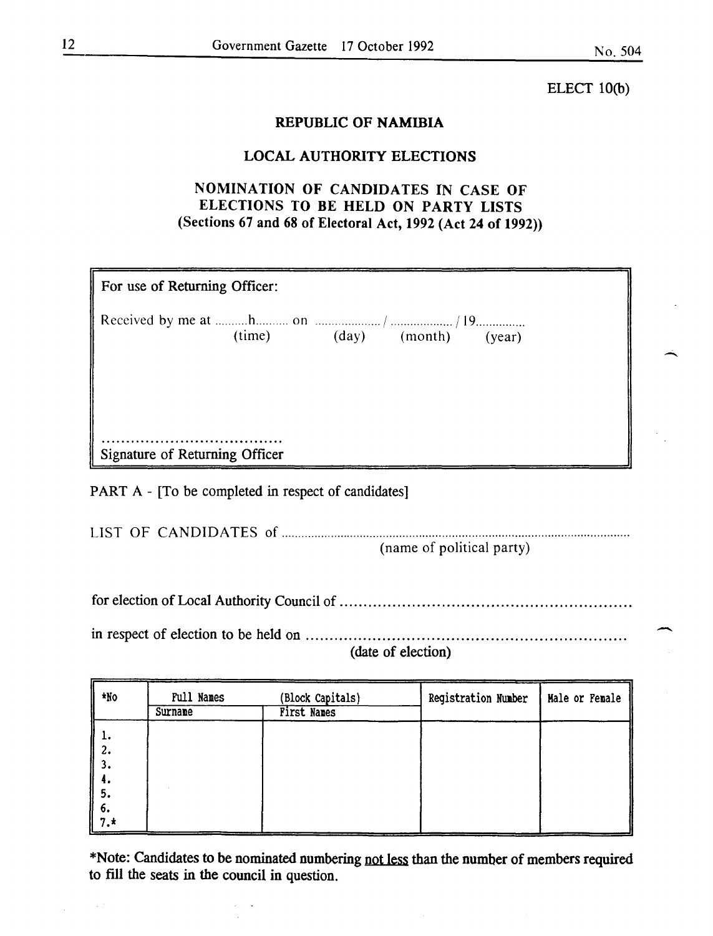-

ELECT lO(b)

#### REPUBLIC OF NAMIBIA

#### LOCAL AUTHORITY ELECTIONS

### NOMINATION OF CANDIDATES IN CASE OF ELECTIONS TO BE HELD ON PARTY LISTS (Sections 67 and 68 of Electoral Act, 1992 (Act 24 of 1992))

| For use of Returning Officer:  |  |  |                             |  |  |  |
|--------------------------------|--|--|-----------------------------|--|--|--|
|                                |  |  |                             |  |  |  |
|                                |  |  | (time) (day) (month) (year) |  |  |  |
|                                |  |  |                             |  |  |  |
|                                |  |  |                             |  |  |  |
|                                |  |  |                             |  |  |  |
|                                |  |  |                             |  |  |  |
| Signature of Returning Officer |  |  |                             |  |  |  |

PART A - [To be completed in respect of candidates]

|  |  | (name of political party) |
|--|--|---------------------------|

for election of Local Authority Council of ........................................................... .

in respect of election to be held on ................................................................. . (date of election)

| *No                     | <b>Full Names</b><br>Surname | (Block Capitals)<br><b>First Names</b> | Registration Number | Male or Female |
|-------------------------|------------------------------|----------------------------------------|---------------------|----------------|
| $\parallel \frac{1}{2}$ |                              |                                        |                     |                |
| 3.<br>4.                |                              |                                        |                     |                |
| 5.                      |                              |                                        |                     |                |
| 6.<br>  <br>∥ 7.*       |                              |                                        |                     |                |

\*Note: Candidates to be nominated numbering not less than the number of members required to fill the seats in the council in question.

 $\bar{\beta}$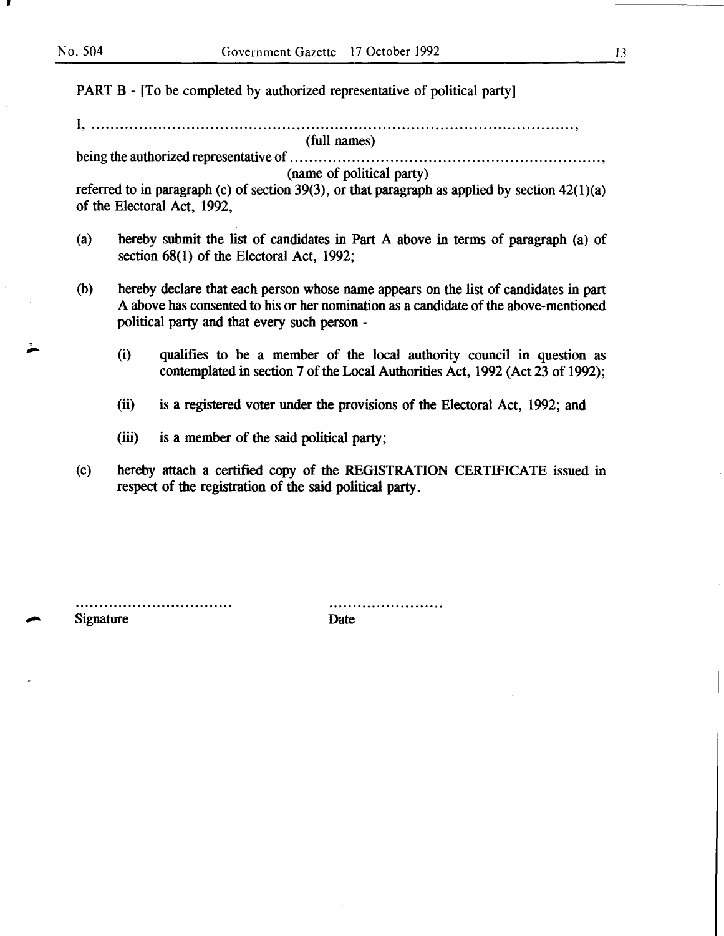. ,.....

PART B - [To be completed by authorized representative of political party]

I, ..................................................................................................... ' (full names)

being the authorized representative of ................................................................. ,

## (name of political party)

referred to in paragraph (c) of section 39(3), or that paragraph as applied by section  $42(1)(a)$ of the Electoral Act, 1992,

- (a) hereby submit the list of candidates in Part A above in terms of paragraph (a) of section 68(1) of the Electoral Act, 1992;
- (b) hereby declare that each person whose name appears on the list of candidates in part A above has consented to his or her nomination as a candidate of the above-mentioned political party and that every such person -
	- (i) qualifies to be a member of the local authority council in question as contemplated in section 7 of the Local Authorities Act, 1992 (Act 23 of 1992);
	- (ii) is a registered voter under the provisions of the Electoral Act, 1992; and
	- (iii) is a member of the said political party;
- (c) hereby attach a certified copy of the REGISTRATION CERTIFICATE issued in respect of the registration of the said political party.

.......................... Signature Date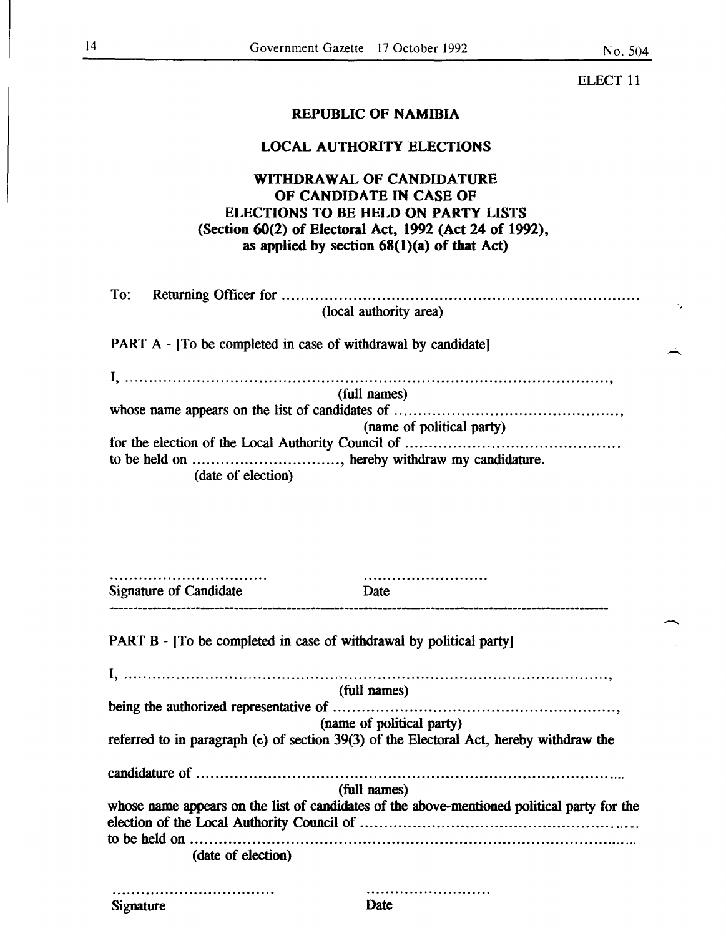٠,

ELECT 11

#### REPUBLIC OF NAMIBIA

#### LOCAL AUTHORITY ELECTIONS

#### WITHDRAWAL OF CANDIDATURE OF CANDIDATE IN CASE OF ELECTIONS TO BE HELD ON PARTY LISTS (Section 60(2) of Electoral Act, 1992 (Act 24 of 1992), as applied by section  $68(1)(a)$  of that Act)

| (local authority area)                                        |
|---------------------------------------------------------------|
| PART A - [To be completed in case of withdrawal by candidate] |
|                                                               |
| (full names)                                                  |
|                                                               |
| (name of political party)                                     |
|                                                               |
| to be held on , hereby withdraw my candidature.               |
| (date of election)                                            |

| <b>Signature of Candidate</b>                                       | Date                                                                                        |
|---------------------------------------------------------------------|---------------------------------------------------------------------------------------------|
| PART B - [To be completed in case of withdrawal by political party] |                                                                                             |
|                                                                     |                                                                                             |
|                                                                     | (full names)                                                                                |
|                                                                     |                                                                                             |
|                                                                     | (name of political party)                                                                   |
|                                                                     | referred to in paragraph (c) of section 39(3) of the Electoral Act, hereby withdraw the     |
|                                                                     |                                                                                             |
|                                                                     | (full names)                                                                                |
|                                                                     | whose name appears on the list of candidates of the above-mentioned political party for the |
|                                                                     |                                                                                             |
|                                                                     |                                                                                             |
| (date of election)                                                  |                                                                                             |
|                                                                     |                                                                                             |
| Signature                                                           | Date                                                                                        |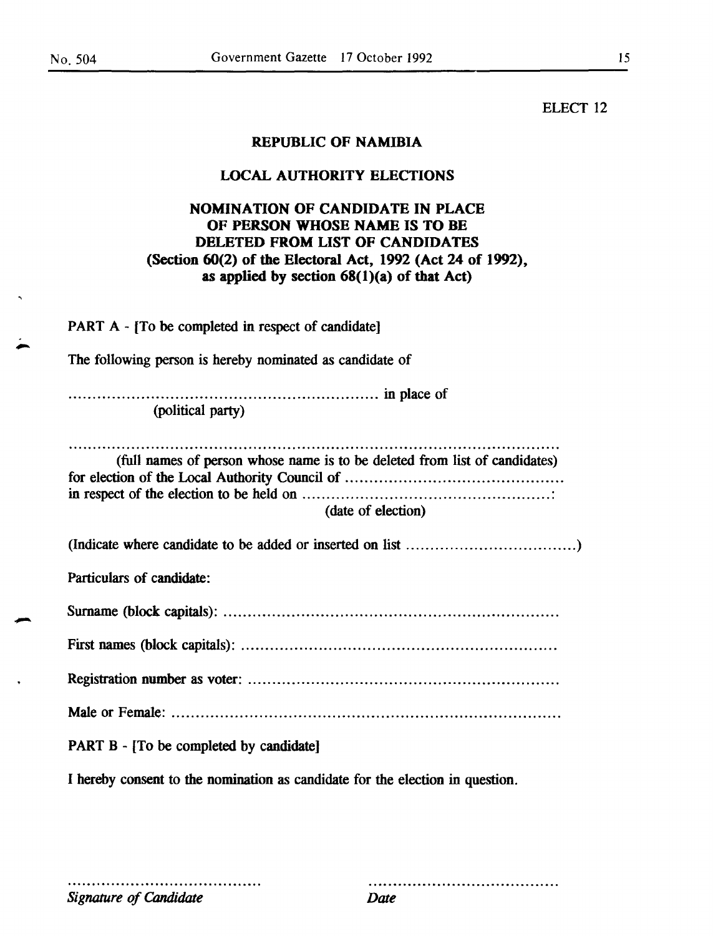ELECT<sub>12</sub>

#### REPUBLIC OF NAMIBIA

#### LOCAL AUTHORITY ELECTIONS

#### NOMINATION OF CANDIDATE IN PLACE OF PERSON WHOSE NAME IS TO BE DELETED FROM LIST OF CANDIDATES (Section 60(2) of the Electoral Act, 1992 (Act 24 of 1992), as applied by section  $68(1)(a)$  of that Act)

PART A- (To be completed in respect of candidate)

The following person is hereby nominated as candidate of

................................................................ in place of (political party)

(full names of person whose name is to be deleted from list of candidates) for election of the Local Authority Council of ............................................ . in respect of the election to be held on ................................................... : (date of election)

|--|--|--|

Particulars of candidate:

Surname (block capitals): .................................................................... .

First names (block capitals): ................................................................ .

Registration number as voter: ............................................................... .

Male or Female: ............................................................................... .

PART B - [To be completed by candidate]

I hereby consent to the nomination as candidate for the election in question.

*Signature of Candidate Date* 

.....................................